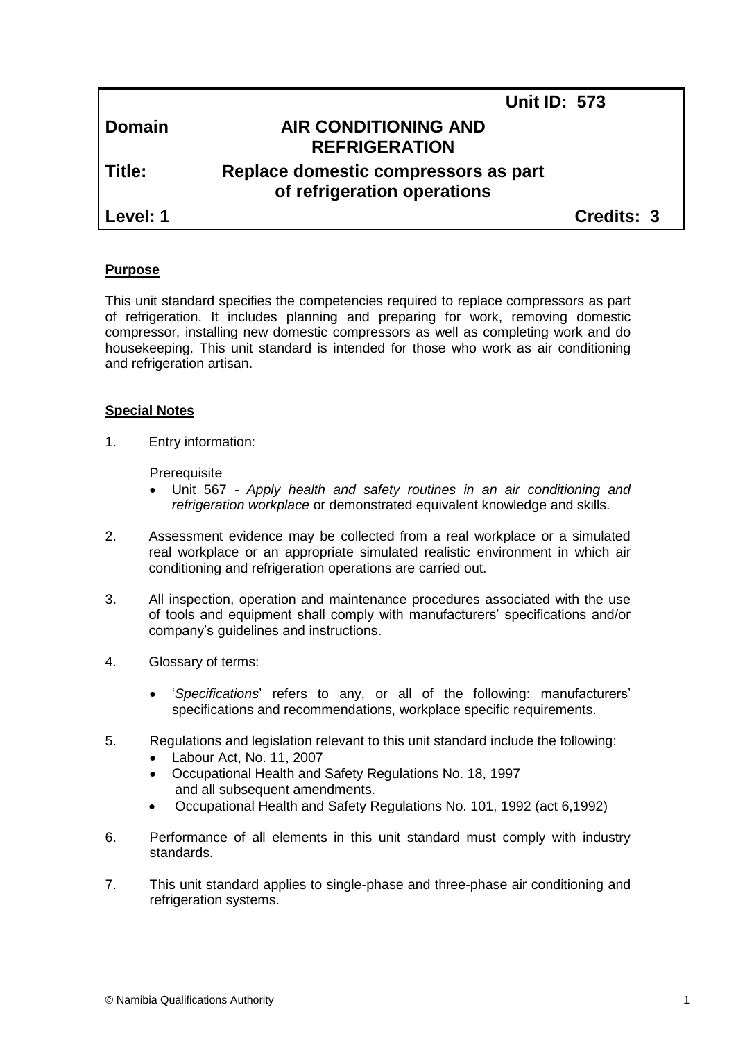|               | <b>Unit ID: 573</b>                                                 |                   |
|---------------|---------------------------------------------------------------------|-------------------|
| <b>Domain</b> | <b>AIR CONDITIONING AND</b><br><b>REFRIGERATION</b>                 |                   |
| Title:        | Replace domestic compressors as part<br>of refrigeration operations |                   |
| Level: 1      |                                                                     | <b>Credits: 3</b> |

## **Purpose**

This unit standard specifies the competencies required to replace compressors as part of refrigeration. It includes planning and preparing for work, removing domestic compressor, installing new domestic compressors as well as completing work and do housekeeping. This unit standard is intended for those who work as air conditioning and refrigeration artisan.

## **Special Notes**

1. Entry information:

**Prerequisite** 

- Unit 567 *- Apply health and safety routines in an air conditioning and refrigeration workplace* or demonstrated equivalent knowledge and skills.
- 2. Assessment evidence may be collected from a real workplace or a simulated real workplace or an appropriate simulated realistic environment in which air conditioning and refrigeration operations are carried out.
- 3. All inspection, operation and maintenance procedures associated with the use of tools and equipment shall comply with manufacturers' specifications and/or company's guidelines and instructions.
- 4. Glossary of terms:
	- '*Specifications*' refers to any, or all of the following: manufacturers' specifications and recommendations, workplace specific requirements.
- 5. Regulations and legislation relevant to this unit standard include the following:
	- Labour Act, No. 11, 2007
	- Occupational Health and Safety Regulations No. 18, 1997 and all subsequent amendments.
	- Occupational Health and Safety Regulations No. 101, 1992 (act 6,1992)
- 6. Performance of all elements in this unit standard must comply with industry standards.
- 7. This unit standard applies to single-phase and three-phase air conditioning and refrigeration systems.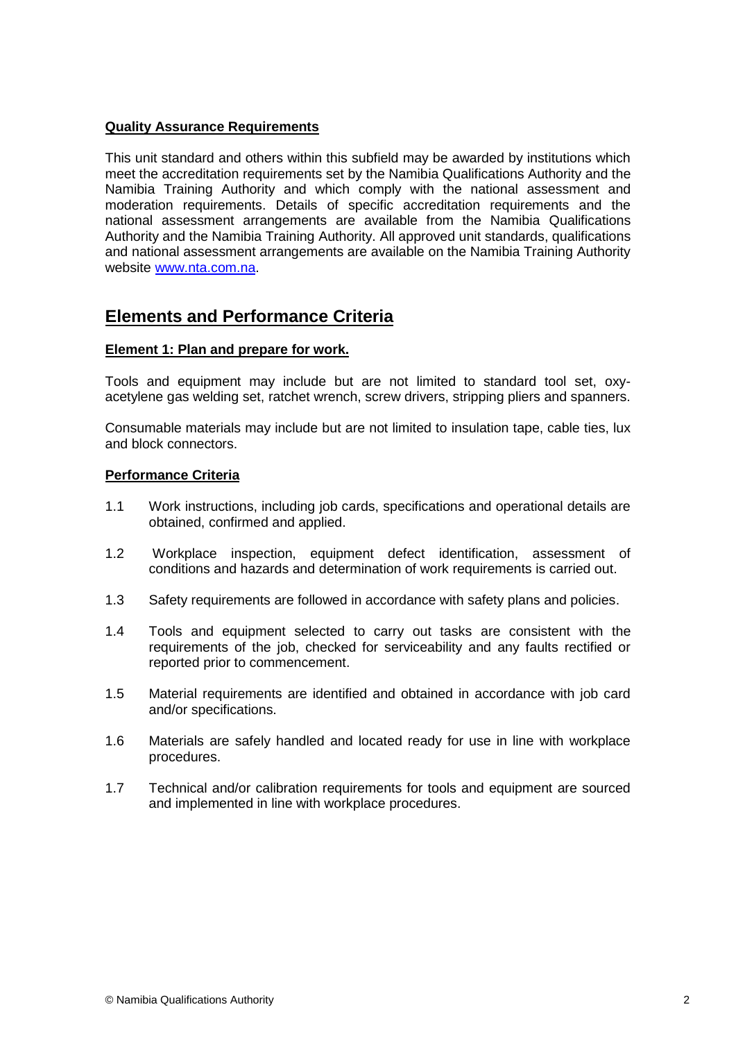## **Quality Assurance Requirements**

This unit standard and others within this subfield may be awarded by institutions which meet the accreditation requirements set by the Namibia Qualifications Authority and the Namibia Training Authority and which comply with the national assessment and moderation requirements. Details of specific accreditation requirements and the national assessment arrangements are available from the Namibia Qualifications Authority and the Namibia Training Authority. All approved unit standards, qualifications and national assessment arrangements are available on the Namibia Training Authority website [www.nta.com.na.](http://www.nta.com.na/)

## **Elements and Performance Criteria**

## **Element 1: Plan and prepare for work.**

Tools and equipment may include but are not limited to standard tool set, oxyacetylene gas welding set, ratchet wrench, screw drivers, stripping pliers and spanners.

Consumable materials may include but are not limited to insulation tape, cable ties, lux and block connectors.

## **Performance Criteria**

- 1.1 Work instructions, including job cards, specifications and operational details are obtained, confirmed and applied.
- 1.2 Workplace inspection, equipment defect identification, assessment of conditions and hazards and determination of work requirements is carried out.
- 1.3 Safety requirements are followed in accordance with safety plans and policies.
- 1.4 Tools and equipment selected to carry out tasks are consistent with the requirements of the job, checked for serviceability and any faults rectified or reported prior to commencement.
- 1.5 Material requirements are identified and obtained in accordance with job card and/or specifications.
- 1.6 Materials are safely handled and located ready for use in line with workplace procedures.
- 1.7 Technical and/or calibration requirements for tools and equipment are sourced and implemented in line with workplace procedures.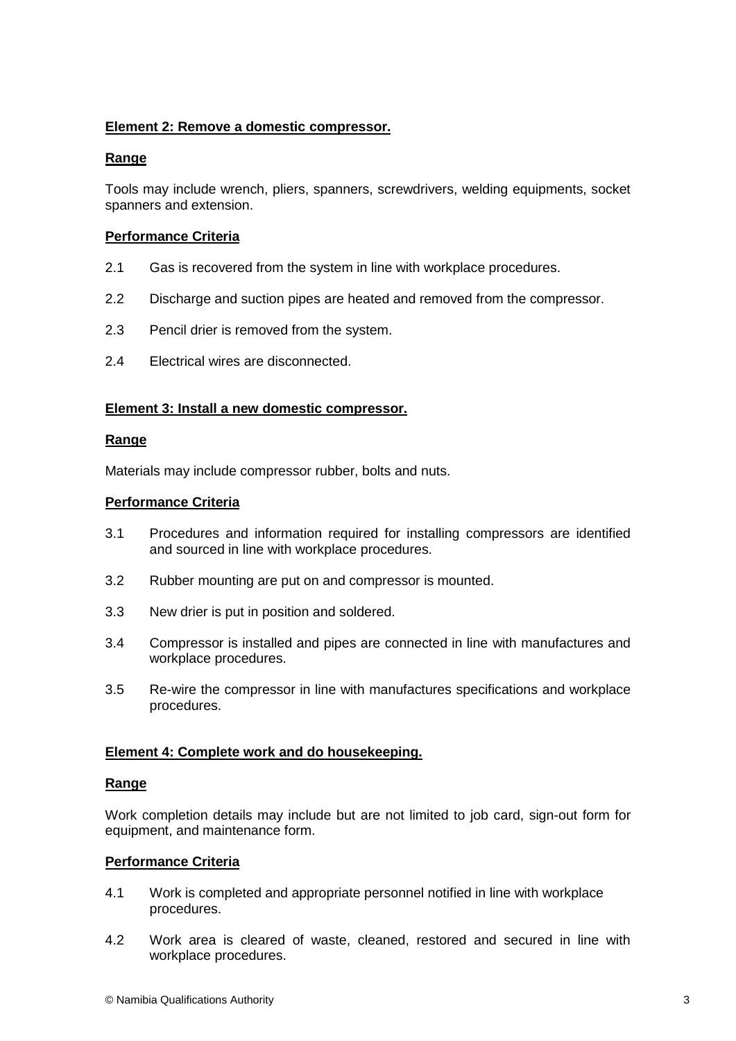## **Element 2: Remove a domestic compressor.**

## **Range**

Tools may include wrench, pliers, spanners, screwdrivers, welding equipments, socket spanners and extension.

## **Performance Criteria**

- 2.1 Gas is recovered from the system in line with workplace procedures.
- 2.2 Discharge and suction pipes are heated and removed from the compressor.
- 2.3 Pencil drier is removed from the system.
- 2.4 Electrical wires are disconnected.

## **Element 3: Install a new domestic compressor.**

## **Range**

Materials may include compressor rubber, bolts and nuts.

## **Performance Criteria**

- 3.1 Procedures and information required for installing compressors are identified and sourced in line with workplace procedures.
- 3.2 Rubber mounting are put on and compressor is mounted.
- 3.3 New drier is put in position and soldered.
- 3.4 Compressor is installed and pipes are connected in line with manufactures and workplace procedures.
- 3.5 Re-wire the compressor in line with manufactures specifications and workplace procedures.

## **Element 4: Complete work and do housekeeping.**

#### **Range**

Work completion details may include but are not limited to job card, sign-out form for equipment, and maintenance form.

#### **Performance Criteria**

- 4.1 Work is completed and appropriate personnel notified in line with workplace procedures.
- 4.2 Work area is cleared of waste, cleaned, restored and secured in line with workplace procedures.